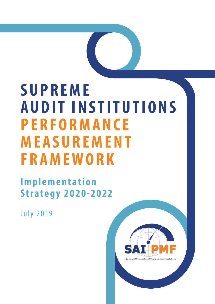# **SUPREME AUDIT INSTITUTIONS PERFORMANCE MEASUREMENT FRAMEWORK**

## **I m p l e m e n t a t i o n Strategy 2020-2022**

July 2019

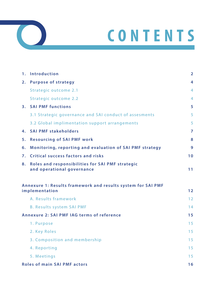



|    | 1. Introduction                                                                | $\overline{2}$ |
|----|--------------------------------------------------------------------------------|----------------|
|    | 2. Purpose of strategy                                                         | 4              |
|    | Strategic outcome 2.1                                                          | $\overline{4}$ |
|    | Strategic outcome 2.2                                                          | $\overline{4}$ |
|    | 3. SAI PMF functions                                                           | 5              |
|    | 3.1 Strategic governance and SAI conduct of assesments                         | 5              |
|    | 3.2 Global implimentation support arrangements                                 | 5              |
| 4. | <b>SAI PMF stakeholders</b>                                                    | $\overline{7}$ |
| 5. | <b>Resourcing of SAI PMF work</b>                                              | 8              |
| 6. | Monitoring, reporting and evaluation of SAI PMF strategy                       | 9              |
| 7. | Critical success factors and risks                                             | 10             |
| 8. | Roles and responsibilities for SAI PMF strategic<br>and operational governance | 11             |
|    | Annexure 1: Results framework and results system for SAI PMF<br>implementation | 12             |
|    | A. Results framework                                                           | 12             |
|    | <b>B. Results system SAI PMF</b>                                               | 14             |
|    | Annexure 2: SAI PMF IAG terms of reference                                     | 15             |
|    | 1. Purpose                                                                     | 15             |
|    | 2. Key Roles                                                                   | 15             |
|    | 3. Composition and membership                                                  | 15             |
|    | 4. Reporting                                                                   | 15             |
|    | 5. Meetings                                                                    | 15             |
|    | <b>Roles of main SAI PMF actors</b>                                            | 16             |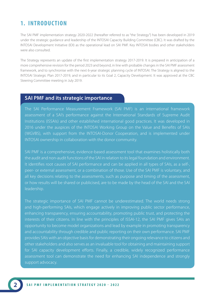### **1. INTRODUCTION**

The SAI PMF implementation strategy 2020-2022 (hereafter referred to as "the Strategy") has been developed in 2019 under the strategic guidance and leadership of the INTOSAI Capacity Building Committee (CBC). It was drafted by the INTOSAI Development Initiative (IDI) as the operational lead on SAI PMF. Key INTOSAI bodies and other stakeholders were also consulted.

The Strategy represents an update of the first implementation strategy 2017-2019. It is prepared in anticipation of a more comprehensive revision for the period 2023 and beyond, in line with probable changes in the SAI PMF assessment framework, and to synchronise with the next 6-year strategic planning cycle of INTOSAI. The Strategy is aligned to the INTOSAI Strategic Plan 2017-2019, and in particular to its Goal 2, Capacity Development. It was approved at the CBC Steering Committee meeting in July 2019.

### **SAI PMF and its strategic importance**

The SAI Performance Measurement Framework (SAI PMF) is an international framework assessment of a SAI's performance against the International Standards of Supreme Audit Institutions (ISSAIs) and other established international good practices. It was developed in 2016 under the auspices of the INTOSAI Working Group on the Value and Benefits of SAIs (WGVBS), with support from the INTOSAI-Donor Cooperation, and is implemented under INTOSAI ownership in collaboration with the donor community.

SAI PMF is a comprehensive, evidence-based assessment tool that examines holistically both the audit and non-audit functions of the SAI in relation to its legal foundation and environment. It identifies root causes of SAI performance and can be applied in all types of SAIs, as a self-, peer- or external assessment, or a combination of those. Use of the SAI PMF is voluntary, and all key decisions relating to the assessments, such as purpose and timing of the assessment, or how results will be shared or publicised, are to be made by the head of the SAI and the SAI leadership.

The strategic importance of SAI PMF cannot be underestimated. The world needs strong and high-performing SAIs, which engage actively in improving public sector performance, enhancing transparency, ensuring accountability, promoting public trust, and protecting the interests of their citizens. In line with the principles of ISSAI-12, the SAI PMF gives SAIs an opportunity to become model organizations and lead by example in promoting transparency and accountability through credible and public reporting on their own performance. SAI PMF provides SAIs with an objective basis for demonstrating their ongoing relevance to citizens and other stakeholders and also serves as an invaluable tool for obtaining and maintaining support for SAI capacity development efforts. Finally, a credible, widely recognized performance assessment tool can demonstrate the need for enhancing SAI independence and strongly support advocacy.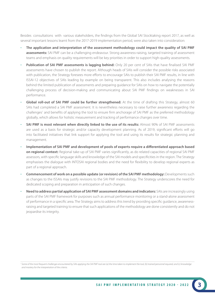Besides consultations with various stakeholders, the findings from the Global SAI Stocktaking report 2017, as well as several important lessons learnt from the 2017-2019 implementation period, were also taken into consideration:

- **The application and interpretation of the assessment methodology could impact the quality of SAI PMF assessments:** SAI PMF can be a challenging endeavour. Strong awareness-raising, targeted training of assessment teams and emphasis on quality requirements will be key priorities in order to support high-quality assessments.
- **Publication of SAI PMF assessments is lagging behind:** Only 20 per cent of SAIs that have finalised SAI PMF assessments have chosen to publish the report. Although heads of SAIs will consider the possible risks associated with publication, the Strategy foresees more efforts to encourage SAIs to publish their SAI PMF results, in line with ISSAI-12 objectives of SAIs leading by example on being transparent. This also includes analysing the reasons behind the limited publication of assessments and preparing guidance for SAIs on how to navigate the potentially challenging process of decision-making and communicating about SAI PMF findings on weaknesses in SAI performance.
- **Global roll-out of SAI PMF could be further strengthened:** At the time of drafting this Strategy, almost 60 SAIs had completed a SAI PMF assessment. It is nevertheless necessary to raise further awareness regarding the challenges<sup>1</sup> and benefits of applying the tool to ensure firm anchorage of SAI PMF as the preferred methodology globally, which allows for holistic measurement and tracking of performance changes over time.
- **SAI PMF is most relevant when directly linked to the use of its results:** Almost 90% of SAI PMF assessments are used as a basis for strategic and/or capacity development planning. As of 2019, significant efforts will go into facilitated initiatives that link support for applying the tool and using its results for strategic planning and management.
- **Implementation of SAI PMF and development of pools of experts require a differentiated approach based on regional context:** Regional take-up of SAI PMF varies significantly, as do related capacities of regional SAI PMF assessors, with specific language skills and knowledge of the SAI models and specificities in the region. The Strategy emphasises the dialogue with INTOSAI regional bodies and the need for flexibility to develop regional experts as part of a regional approach.
- **Commencement of work on a possible update (or revision) of the SAI PMF methodology:** Developments such as changes to the ISSAIs may justify revisions to the SAI PMF methodology. The Strategy underscores the need for dedicated scoping and preparation in anticipation of such changes.
- • **Need to address partial application of SAI PMF assessment domains and indicators:** SAIs are increasingly using parts of the SAI PMF framework for purposes such as annual performance monitoring or a stand-alone assessment of performance in a specific area. The Strategy aims to address this trend by providing specific guidance, awarenessraising and targeted training to ensure that such applications of the methodology are done consistently and do not jeopardise its integrity.

<sup>&</sup>lt;sup>1</sup> Some of the most frequent challenges encountered by SAIs applying the SAI PMF tool are (a) the time taken to implement the tool, (b) trained personnel required, and (c) knowledge *and mastery for the interpretation of the criteria.*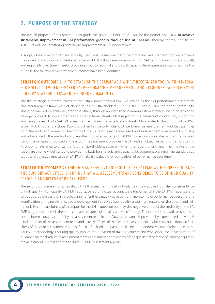### **2. PURPOSE OF THE STRATEGY**

The overall purpose of this Strategy is to guide the global roll-out of SAI PMF for the period 2020-2022 **to achieve sustainable improvement in SAI performance globally through use of SAI PMF,** thereby contributing to the INTOSAI's mission of fostering continuous improvement in SAI performance.

A single, globally recognized and broadly used needs assessment and performance measurement tool will enhance the value and contribution of SAIs across the world. It will also enable monitoring of SAI performance progress globally and regionally over time, thereby providing input to regional and global capacity development programmes. For this purpose, the following two strategic outcomes have been identified:

### **STRATEGIC OUTCOME 2.1:** TO ESTABLISH THE SAI PMF AS A WIDELY RECOGNIZED TOOL WITHIN INTOSAI FOR HOLISTIC, EVIDENCE-BASED SAI PERFORMANCE MEASUREMENT, AND RECOGNIZED AS SUCH BY IN-COUNTRY STAKEHOLDERS AND THE DONOR COMMUNITY

The first strategic outcome relates to the establishment of SAI PMF worldwide as the SAI performance assessment and measurement framework of choice for all key stakeholders – SAIs, INTOSAI bodies, and the donor community. This outcome will be achieved, amongst others, through an intensified communication strategy, including exploring stronger outreach to governments and other external stakeholders regarding the benefits of conducting, supporting and using the results of a SAI PMF assessment. A first key message to such stakeholders relates to the position of SAI PMF as an INTOSAI tool and a Global Public Good, and as the only holistic SAI performance measurement tool that examines both the audit and non-audit functions of the SAI and is evidence-based and independently reviewed for quality and adherence to the methodology. Another crucial advantage of SAI PMF to be communicated is that the detailed performance report produced at the end of the assessment provides the SAI with an objective basis for demonstrating its ongoing relevance to citizens and other stakeholders, especially when the report is published. The findings of the report are also very well suited to provide the basis for strategic and capacity development planning. The standardised scope and objective measures of SAI PMF make it invaluable for comparison of performance over time.

### **STRATEGIC OUTCOME 2.2:** THROUGH AN EFFEC TIVE ROLL-OUT OF THE SAI PMF, WITH PROPER GUIDANCE AND SUPPORT ACTIVITIES, ENSURING THAT ALL ASSESSMENTS ARE CONSIDERED TO BE OF HIGH OUALITY. CREDIBLE AND RELEVANT BY ALL USERS

The second outcome emphasises that SAI PMF assessments must not only be widely applied, but also consistently be of high quality. High-quality SAI PMF reports, based on factual accuracy, are fundamental if the SAI PMF reports are to serve as a credible basis for strategic planning, further capacity development, monitoring of performance over time, and identification of the results of capacity development initiatives. Low-quality assessment reports, on the other hand, will not only limit the usefulness of the report for the SAI in question but may also negatively impact the credibility of the SAI PMF. A rigorous process is therefore critical to ensure high-quality and valid findings. This process starts with provisions to ensure internal quality control by the assessment team leader. Quality assurance is provided by experienced individuals – independent of the assessment team and usually officers of the SAI under assessment – who carry out a detailed factcheck of the draft assessment report before it is finalised and passed to IDI for independent review of adherence to the SAI PMF methodology. Ensuring quality implies the provision of training courses and workshops, the development of guidance material, advice to assessment teams, and independent review of the quality of the terms of reference guiding the assessment process and of the draft SAI PMF assessment reports.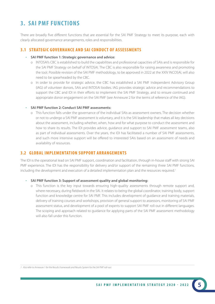### **3. SAI PMF FUNCTIONS**

There are broadly five different functions that are essential for the SAI PMF Strategy to meet its purpose, each with clearly allocated governance arrangements, roles and responsibilities.

#### **3.1 STRATEGIC GOVERNANCE AND SAI CONDUCT OF ASSESSMENTS**

#### • **SAI PMF function 1: Strategic governance and advice:**

- o INTOSAI's CBC is established to build the capabilities and professional capacities of SAIs and is responsible for the SAI PMF Strategy on behalf of INTOSAI. The CBC is also responsible for raising awareness and promoting the tool. Possible revision of the SAI PMF methodology, to be approved in 2022 at the XXIV INCOSAI, will also need to be spearheaded by the CBC.
- o In order to provide for strategic advice, the CBC has established a SAI PMF Independent Advisory Group (IAG) of volunteer donors, SAIs and INTOSAI bodies. IAG provides strategic advice and recommendations to support the CBC and IDI in their efforts to implement the SAI PMF Strategy, and to ensure continued and appropriate donor engagement on the SAI PMF (see Annexure 2 for the terms of reference of the IAG).

#### • **SAI PMF function 2: Conduct SAI PMF assessments:**

 o This function falls under the governance of the individual SAIs as assessment owners. The decision whether or not to undergo a SAI PMF assessment is voluntary, and it is the SAI leadership that makes all key decisions about the assessment, including whether, when, how and for what purpose to conduct the assessment and how to share its results. The IDI provides advice, guidance and support to SAI PMF assessment teams, also as part of individual assessments. Over the years, the IDI has facilitated a number of SAI PMF assessments, and such more intensive support will be offered to interested SAIs based on an assessment of needs and availability of resources.

### **3.2 GLOBAL IMPLEMENTATION SUPPORT ARRANGEMENTS**

The IDI is the operational lead on SAI PMF support, coordination and facilitation, through in-house staff with strong SAI PMF experience. The IDI has the responsibility for delivery and/or support of the remaining three SAI PMF functions, including the development and execution of a detailed implementation plan and the resources required.<sup>1</sup>

#### • **SAI PMF function 3: Support of assessment quality and global monitoring:**

 o This function is the key input towards ensuring high-quality assessments through remote support and, where necessary, during fieldwork in the SAI. It relates to being the global coordinator, training body, support function and knowledge centre for SAI PMF. This includes development of guidance and training materials, delivery of training courses and workshops, provision of general support to assessors, monitoring of SAI PMF assessment status, and development of a pool of experts to support SAI PMF roll-out in different languages. The scoping and approach related to guidance for applying parts of the SAI PMF assessment methodology will also fall under this function.

*<sup>1</sup> Also refer to Annexure 1 for the Results Framework and Results System for the SAI PMF roll-out.*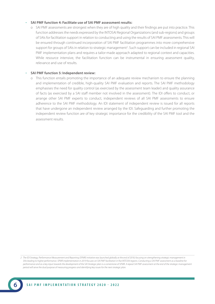#### • **SAI PMF function 4: Facilitate use of SAI PMF assessment results:**

 o SAI PMF assessments are strongest when they are of high quality and their findings are put into practice. This function addresses the needs expressed by the INTOSAI Regional Organizations (and sub-regions) and groups of SAIs for facilitation support in relation to conducting and using the results of SAI PMF assessments. This will be ensured through continued incorporation of SAI PMF facilitation programmes into more comprehensive support for groups of SAIs in relation to strategic management<sup>2</sup>. Such support can be included in regional SAI PMF implementation plans and requires a tailor-made approach adapted to regional context and capacities. While resource intensive, the facilitation function can be instrumental in ensuring assessment quality, relevance and use of results.

#### • **SAI PMF function 5: Independent review:**

 o This function entails promoting the importance of an adequate review mechanism to ensure the planning and implementation of credible, high-quality SAI PMF evaluation and reports. The SAI PMF methodology emphasises the need for quality control (as exercised by the assessment team leader) and quality assurance of facts (as exercised by a SAI staff member not involved in the assessment). The IDI offers to conduct, or arrange other SAI PMF experts to conduct, independent reviews of all SAI PMF assessments to ensure adherence to the SAI PMF methodology. An IDI statement of independent review is issued for all reports that have undergone an independent review arranged by the IDI. Safeguarding and further promoting the independent review function are of key strategic importance for the credibility of the SAI PMF tool and the assessment results.

*<sup>2</sup> The IDI Strategy, Performance Measurement and Reporting (SPMR) initiative was launched globally at the end of 2018, focusing on strengthening strategic management in*  SAIs leading to higher performance. SPMR implementation in 2019 focuses on SAI PMF facilitation in five INTOSAI regions. Conducting a SAI PMF assessment as a baseline for *performance and as a key input towards the development of the SAI Strategic plan is a cornerstone of SPMR. A repeat SAI PMF assessment at the end of the strategic management period will serve the dual purpose of measuring progress and identifying key issues for the next strategic plan.*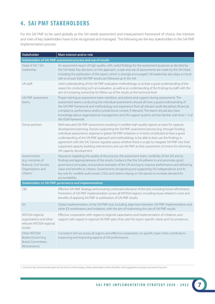### **4. SAI PMF STAKEHOLDERS**

For the SAI PMF to be used globally as the SAI needs assessment and measurement framework of choice, the interests and roles of key stakeholders have to be recognized and managed. The following are the key stakeholders in the SAI PMF implementation process:

| Stakeholder                                                                                                 | Main interest and/or role                                                                                                                                                                                                                                                                                                                                                                                                                                                                                                                                                                                                                                  |  |  |  |  |  |
|-------------------------------------------------------------------------------------------------------------|------------------------------------------------------------------------------------------------------------------------------------------------------------------------------------------------------------------------------------------------------------------------------------------------------------------------------------------------------------------------------------------------------------------------------------------------------------------------------------------------------------------------------------------------------------------------------------------------------------------------------------------------------------|--|--|--|--|--|
| Stakeholders of SAI PMF assessment process and use of results                                               |                                                                                                                                                                                                                                                                                                                                                                                                                                                                                                                                                                                                                                                            |  |  |  |  |  |
| Head of SAI / SAI<br>Leadership                                                                             | An assessment report of high quality, with useful findings for the assessment purposes as decided by<br>the SAI Head. Key decisions on the approach, scope and use of assessments are made by the SAI Head,<br>including the publication of the report, which is strongly encouraged. SAI leadership also plays a critical<br>role to ensure that SAI PMF results are followed up in the SAI.                                                                                                                                                                                                                                                              |  |  |  |  |  |
| SAI staff                                                                                                   | Solid understanding of the SAI PMF evaluation methodology, or at least a good understanding of the<br>reason for conducting such an evaluation, as well as an understanding of the findings by staff, with the<br>aim of increasing ownership for follow-up of the results at the technical level.                                                                                                                                                                                                                                                                                                                                                         |  |  |  |  |  |
| SAI PMF assessment<br>teams                                                                                 | Proper training as assessment team members, and advice and support during assessments. The<br>assessment teams conducting the individual assessments should all have a good understanding of<br>the SAI PMF framework and methodology and experience from all relevant audit disciplines (financial,<br>compliance, performance and/or jurisdictional control, if relevant). The teams should also have<br>knowledge about organizational management and SAI support systems and be familiar with level 1-3 of<br>the ISSAI framework.                                                                                                                     |  |  |  |  |  |
| Donor partners                                                                                              | Well-executed SAI PMF assessments resulting in credible high-quality reports as basis for capacity<br>development planning. Donors supporting the SAI PMF assessment process (e.g. through funding<br>individual assessments, regional or global SAI PMF initiatives or in-kind contributions) have a good<br>understanding of the SAI PMF approach and methodology to be able to best use the findings in<br>agreement with the SAI. Donors regularly assess whether there is scope to integrate SAI PMF into their<br>supported capacity building interventions and use SAI PMF as their assessment of choice for informing<br>SAI capacity development. |  |  |  |  |  |
| Governments<br>(e.g. ministries of<br>finance), Civil Society<br>Organizations and<br>citizens <sup>1</sup> | Assurance regarding the quality of the process, the assessment team, credibility of the SAI and its<br>findings and appropriateness of the results. Evidence that the SAI adheres to and promotes good<br>governance principles, and positive examples of the SAI striving to improve performance and delivering<br>value and benefits to citizens. Governments recognizing and supporting SAI independence and its<br>key role for credible audit results. CSOs and citizens relying on SAI reports to increase demand for<br>accountability.                                                                                                             |  |  |  |  |  |
| <b>Stakeholders to SAI PMF governance and implementation</b>                                                |                                                                                                                                                                                                                                                                                                                                                                                                                                                                                                                                                                                                                                                            |  |  |  |  |  |
| CBC                                                                                                         | Effective SAI PMF Strategy and ensuring continued relevance of the tool, including future refinements.<br>Promotion of SAI PMF implementation across all INTOSAI regions, including issues related to costs and<br>benefits of applying SAI PMF or publication of SAI PMF results.                                                                                                                                                                                                                                                                                                                                                                         |  |  |  |  |  |
| D                                                                                                           | Global implementation of the SAI PMF tool, including alignment between SAI PMF implementation and<br>other IDI workstreams and initiatives, with the aim of maximising the use of SAI PMF results.                                                                                                                                                                                                                                                                                                                                                                                                                                                         |  |  |  |  |  |
| <b>INTOSAI</b> regional<br>organizations and other<br>relevant INTOSAI regional<br>bodies                   | Effective cooperation with regard to regional capacitation and implementation of initiatives, and<br>support with regard to regional SAI PMF plans that cater for region-specific needs and circumstances.                                                                                                                                                                                                                                                                                                                                                                                                                                                 |  |  |  |  |  |
| Other INTOSAI<br><b>Bodies (Governing</b><br>Board, Committees,<br>Workstreams)                             | Consistent roll-out across all regions and effective cooperation on specific topics that contribute to<br>measuring and improving aspects of SAI performance.                                                                                                                                                                                                                                                                                                                                                                                                                                                                                              |  |  |  |  |  |

*1 As part of the communication plan for the roll-out of the strategy, all key stakeholders will be identified, with engagement purposes and actions for each.*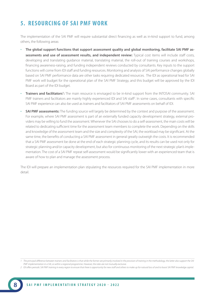### **5. RESOURCING OF SAI PMF WORK**

The implementation of the SAI PMF will require substantial direct financing as well as in-kind support to fund, among others, the following areas:

- **The global support functions that support assessment quality and global monitoring, facilitate SAI PMF assessments and use of assessment results, and independent review:** Typical cost items will include staff costs, developing and translating guidance material, translating material, the roll-out of training courses and workshops, financing awareness-raising, and funding independent reviews conducted by consultants. Key inputs to the support functions will come from IDI staff and funding resources. Monitoring and analysis of SAI performance changes globally based on SAI PMF performance data are other tasks requiring dedicated resources. The IDI as operational lead for SAI PMF work will budget for the operational plan of the SAI PMF Strategy, and this budget will be approved by the IDI Board as part of the IDI budget.
- Trainers and facilitators<sup>1</sup>: The main resource is envisaged to be in-kind support from the INTOSAI community. SAI PMF trainers and facilitators are mainly highly experienced IDI and SAI staff<sup>2</sup>. In some cases, consultants with specific SAI PMF experience can also be used as trainers and facilitators of SAI PMF assessments on behalf of IDI.
- **SAI PMF assessments:** The funding source will largely be determined by the context and purpose of the assessment. For example, where SAI PMF assessment is part of an externally funded capacity development strategy, external providers may be willing to fund the assessment. Whenever the SAI chooses to do a self-assessment, the main costs will be related to dedicating sufficient time for the assessment team members to complete the work. Depending on the skills and knowledge of the assessment team and the size and complexity of the SAI, the workload may be significant. At the same time, the benefits of conducting a SAI PMF assessment in general greatly outweigh the costs. It is recommended that a SAI PMF assessment be done at the end of each strategic planning cycle, and its results can be used not only for strategic planning and/or capacity development, but also for continuous monitoring of the next strategic plan's implementation. The cost of a SAI PMF repeat self-assessment would be significantly lower with an experienced team that is aware of how to plan and manage the assessment process.

The IDI will prepare an implementation plan stipulating the resources required for the SAI PMF implementation in more detail.

*<sup>1</sup> The principal difference between trainers and facilitators is that while the former are primarily involved in the provision of training in the methodology, the latter also support the SAI PMF implementation in a SAI, or within a regional programme. However, the roles are not mutually exclusive.*

*<sup>2</sup> IDI offers periodic SAI PMF training in every region to ensure that there is opportunity for new staff and others to make up for natural loss of and to boost SAI PMF knowledge capital.*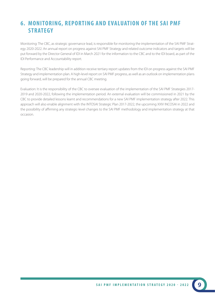### **6. MONITORING, REPORTING AND EVALUATION OF THE SAI PMF STRATEGY**

Monitoring: The CBC, as strategic governance lead, is responsible for monitoring the implementation of the SAI PMF Strategy 2020-2022. An annual report on progress against SAI PMF Strategy and related outcome indicators and targets will be put forward by the Director General of IDI in March 2021 for the information to the CBC and to the IDI board, as part of the IDI Performance and Accountability report.

Reporting: The CBC leadership will in addition receive tertiary report updates from the IDI on progress against the SAI PMF Strategy and implementation plan. A high-level report on SAI PMF progress, as well as an outlook on implementation plans going forward, will be prepared for the annual CBC meeting.

Evaluation: It is the responsibility of the CBC to oversee evaluation of the implementation of the SAI PMF Strategies 2017- 2019 and 2020-2022, following the implementation period. An external evaluation will be commissioned in 2021 by the CBC to provide detailed lessons learnt and recommendations for a new SAI PMF implementation strategy after 2022. This approach will also enable alignment with the INTOSAI Strategic Plan 2017-2022, the upcoming XXIV INCOSAI in 2022 and the possibility of affirming any strategic-level changes to the SAI PMF methodology and implementation strategy at that occasion.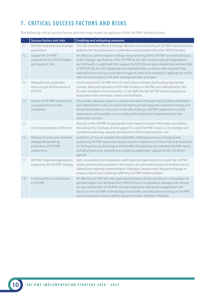### **7. CRITICAL SUCCESS FACTORS AND RISKS**

The following critical success factors and risks may impact acceptance of the SAI PMF during roll-out:

|     | <b>Success factors and risks</b>                                                                       | <b>Enabling and mitigating measures</b>                                                                                                                                                                                                                                                                                                                                                                                                                                                                                                 |
|-----|--------------------------------------------------------------------------------------------------------|-----------------------------------------------------------------------------------------------------------------------------------------------------------------------------------------------------------------------------------------------------------------------------------------------------------------------------------------------------------------------------------------------------------------------------------------------------------------------------------------------------------------------------------------|
| 7.1 | INTOSAI leadership and strategic<br>governance                                                         | The CBC exercises effective strategic direction and monitoring of SAI PMF implementation<br>aided by the IAG and ensures coordination and synergies with other INTOSAI bodies.                                                                                                                                                                                                                                                                                                                                                          |
| 7.2 | Support for SAI PMF<br>assessments by INTOSAI Bodies<br>and Heads of SAIs                              | An effective communication strategy and positioning of the SAI PMF to enable advocacy<br>of the strategic significance of the SAI PMF by the CBC towards regional organizations<br>and SAI heads, coupled with firm support by INTOSAI and donor leadership. Member SAIs<br>of INTOSAI GB, the CBC leadership and regional bodies, as well as well-resourced SAIs,<br>especially those acting as providers of support, leading by example in applying the tool in<br>their SAI in accordance with their strategic priorities and plans. |
| 7.3 | Adequate and sustainable<br>resourcing at all three levels of<br><b>INTOSAI</b>                        | Funds required for SAI PMF roll-out match donor interests and funding, appropriate<br>number, skills and experience of IDI staff working on SAI PMF, and willingness by SAIs<br>to make available in-kind resources, i.e. SAI staff who are SAI PMF-trained assessors as<br>assessment team members, trainers and facilitators.                                                                                                                                                                                                         |
| 7.4 | Quality of SAI PMF assessments<br>ys, assessment cost and<br>complexity                                | IDI provides adequate support to assessment teams through training, advice, facilitation<br>and independent review to ensure that teams are well-prepared. Awareness-raising and<br>strong sensitisation on the costs vs. benefits of doing a SAI PMF assessment to clarify<br>expectations and possible costs, including SAIs sharing their experiences from the<br>assessment process.                                                                                                                                                |
| 7.5 | Continued relevance of the tool                                                                        | Revision of the SAI PMF at appropriate times based on proper information and advice<br>(including IAG). Emphasis of and support for use of SAI PMF results, i.e. for strategic and<br>operational planning, capacity development, ISSAI implementation, etc.                                                                                                                                                                                                                                                                            |
| 7.6 | Sharing of results and, wherever<br>strategically beneficial,<br>publication of SAI PMF<br>assessments | Guidance on how to navigate the potentially challenging process of sharing and<br>publicizing SAI PMF assessment results, based on experience of those SAIs that have done<br>so. Strong advocacy focusing on the benefits of publishing the complete SAI PMF report,<br>including leading by example and mobilizing stakeholder support for the SAI reform<br>agenda.                                                                                                                                                                  |
| 7.7 | <b>INTOSAI</b> Regional Organizations<br>supporting the SAI PMF Strategy                               | Early consultation and cooperation with regional organizations to ensure that SAI PMF<br>needs, priorities and capacities in the regions are well-understood, and development of<br>tailored joint regional implementation strategies / programmes. Regular exchange on<br>progress, factors and challenges affecting SAI PMF implementation.                                                                                                                                                                                           |
| 7.8 | Continued donor involvement<br>in SAI PMF                                                              | An effective SAI PMF IAG with equal representation of SAIs and donors; continuation of<br>general support and feedback from INTOSAI-Donor Cooperation, dialogue with donors<br>on uses and benefits of SAI PMF; stronger awareness-raising and engagement with<br>donors on the SAI PMF methodology and benefits, including donor training on SAI PMF;<br>and involvement of donor staff as assessment team members if feasible.                                                                                                        |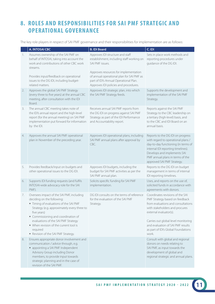### **8. ROLES AND RESPONSIBILITIES FOR SAI PMF STRATEGIC AND OPERATIONAL GOVERNANCE**

The key role players in respect of SAI PMF governance and their responsibilities for implementation are as follows:

|    | <b>A. INTOSAI CBC</b>                                                                                                                                                                                                                                                                                   | <b>B. IDI Board</b>                                                                                                                                                                    | C. IDI                                                                                                                                                                                                                                                |
|----|---------------------------------------------------------------------------------------------------------------------------------------------------------------------------------------------------------------------------------------------------------------------------------------------------------|----------------------------------------------------------------------------------------------------------------------------------------------------------------------------------------|-------------------------------------------------------------------------------------------------------------------------------------------------------------------------------------------------------------------------------------------------------|
| 1. | Assumes ownership of the SAI PMF on<br>behalf of INTOSAI, taking into account the<br>work and contributions of other CBC work<br>streams.<br>Provides input/feedback on operational                                                                                                                     | Approves IDI structure and staff<br>establishment, including staff working on<br>SAI PMF issues.<br>Approves resources for implementation<br>of annual operational plan for SAI PMF as | Sets in place work methods and<br>reporting procedures under<br>guidance of the DG IDI.                                                                                                                                                               |
|    | issues to the DG IDI, including budget-<br>related matters.                                                                                                                                                                                                                                             | part of IDI's Annual Operational Plan.<br>Approves IDI policies and procedures.                                                                                                        |                                                                                                                                                                                                                                                       |
| 2. | Approves the global SAI PMF Strategy<br>(every three to five years) at the annual CBC<br>meeting, after consultation with the IDI<br>Board.                                                                                                                                                             | Approves IDI strategic plan, into which<br>the SAI PMF Strategy feeds.                                                                                                                 | Supports the development and<br>implementation of the SAI PMF<br>Strategy.                                                                                                                                                                            |
| 3. | The annual CBC meeting takes note of<br>the IDI's annual report and the high-level<br>report (for the annual meeting) on SAI PMF<br>implementation put forward for information<br>by the IDI.                                                                                                           | Receives annual SAI PMF reports from<br>the DG IDI on progress against SAI PMF<br>Strategy as part of the IDI Performance<br>and Accountability report.                                | Reports against the SAI PMF<br>Strategy to the CBC leadership on<br>a tertiary (high-level) basis, and<br>to the CBC and IDI Board on an<br>annual basis.                                                                                             |
| 4. | Approves the annual SAI PMF operational<br>plan in November of the preceding year.                                                                                                                                                                                                                      | Approves IDI operational plans, including<br>SAI PMF annual plans after approval by<br>CBC.                                                                                            | Reports to the DG IDI on progress<br>with regard to operational plans /<br>day-to-day functioning (in terms of<br>internal IDI reporting timelines).<br>Develops and implements SAI<br>PMF annual plans in terms of the<br>approved SAI PMF Strategy. |
| 5. | Provides feedback/input on budgets and<br>other operational issues to the DG IDI.                                                                                                                                                                                                                       | Approves IDI budgets, including the<br>budget for SAI PMF activities as per the<br>SAI PMF annual plan.                                                                                | Reports to the DG IDI on budget<br>management in terms of internal<br>IDI reporting timelines.                                                                                                                                                        |
| 6. | Supports IDI funding requests (and fulfils<br>INTOSAI-wide advocacy role for the SAI<br>PMF).                                                                                                                                                                                                           | Solicits specific funding for SAI PMF<br>implementation.                                                                                                                               | Uses, and reports on the use of,<br>solicited funds in accordance with<br>agreements with donors.                                                                                                                                                     |
| 7. | Oversees impact of the SAI PMF, including<br>deciding on the following:<br>" Timing of evaluations of the SAI PMF<br>Strategy (e.g. approximately every three to<br>five years)<br>• Commissioning and coordination of<br>evaluations of the SAI PMF Strategy<br>• When revision of the current tool is | DG IDI consults on the terms of reference<br>for the evaluation of the SAI PMF<br>Strategy.                                                                                            | Coordinates revisions of the SAI<br>PMF Strategy based on feedback<br>from evaluations and consultations<br>with stakeholders and procures<br>external evaluator(s).<br>Carries out global level monitoring<br>and evaluation of SAI PMF results      |
|    | required<br>Revision of the SAI PMF Strategy.                                                                                                                                                                                                                                                           |                                                                                                                                                                                        | as part of IDI's Global Foundations<br>work.                                                                                                                                                                                                          |
| 8. | Ensures appropriate donor involvement and<br>communication / advice through, e.g.<br>• appointing a SAI PMF Independent<br>Advisory Group including Donor<br>members, to provide input towards<br>strategic planning and in the case of<br>revision of the SAI PMF.                                     |                                                                                                                                                                                        | Consult with global and regional<br>donors on needs relating to<br>SAI PMF, as input towards the<br>development of global and<br>regional strategic and annual plans.                                                                                 |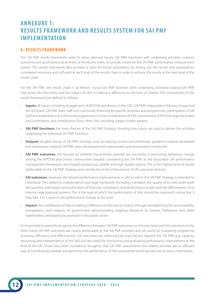### **ANNEXURE 1: RESULTS FRAMEWORK AND RESULTS SYSTEM FOR SAI PMF IMPLEMENTATION**

#### **A. RESULTS FRAMEWORK**

The SAI PMF results framework seeks to show planned inputs, SAI PMF functions with underlying activities, outputs, outcomes and assumptions at all levels of the results chain, to provide a basis for the SAI PMF performance measurement system. The results framework also provides a basis for future evaluations by setting out the results and assumptions considered necessary and sufficient at each level of the results chain in order to achieve the results at the next level of the results chain.

For the SAI PMF, the results chain is as follows: inputs-SAI PMF function (with underlying activities)-outputs-SAI PMF Outcomes-SAI Outcomes, and the impact of SAIs in making a difference to the lives of citizens. The components of the results framework are defined as follows:

- • **Inputs:** all inputs, including engagement of INTOSAI and donors in the CBC, SAI PMF Independent Advisory Group and the IDI board, SAI PMF team staff and core funds; financing for specific activities and programmes; participation of SAI staff and leadership in activities and programmes; in-kind contributions of SAIs; involvement of INTOSAI regional bodies and committees; and contributions from other SAIs, including subject matter experts.
- **SAI PMF functions:** the main themes of the SAI PMF Strategy, showing how inputs are used to deliver the activities underlying the individual SAI PMF functions.
- • **Outputs:** tangible results of SAI PMF activities, such as training courses and workshops, guidance material developed and maintained, regional SAI PMF plans developed and implemented and assessments conducted.
- **SAI PMF outcomes:** this focuses on whether the activities planned are successful in promoting behaviour change among the INTOSAI and Donor communities towards considering the SAI PMF as the favourable SAI performance management framework, and towards producing credible and high-quality reports. This is the highest level of results attributable to the SAI PMF Strategy and contributes to the achievement of SAI outcomes (below).
- **SAI outcomes:** measures the desired performance improvements in SAIs to which the SAI PMF Strategy is intended to contribute. This relates to independence and legal framework (including mandate); the quality of its core audit work; the quantity, submission and publication of financial, compliance and performance audits; and the effectiveness of its internal organizational systems. This is the level at which the performance of SAIs should be measured, noting that it may take 3 to 5 years to see performance change at this level.
- • **Impact:** the contribution of SAIs in making a difference to the lives of citizens, through strengthening the accountability, transparency and integrity of government, demonstrating ongoing relevance to citizens, Parliament and other stakeholders, and leading by example in the public sector.

It is important to explicitly recognize the difference between SAI PMF outcomes, on the one hand, and SAI outcomes on the other hand. SAI PMF outcomes are closely attributable to the SAI PMF activities and are useful for evaluating programme economy, efficiency and effectiveness. SAI outcomes are influenced by many factors beyond the SAI PMF (e.g. capacity, resourcing and independence of the SAI) and are useful for monitoring and evaluating performance improvement at the level of the SAI. These have been included to recognize that SAI PMF assessments and related activities are an efficient way of contributing towards strengthening the performance of SAIs around the world and are not an end in themselves.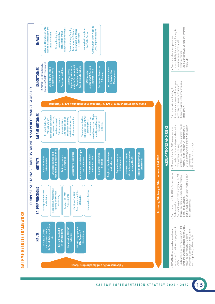



• Funds needed for the necessary SAI PMF functions and for global roll out of SAI PMF match donor interests & funding • SAIs seek to use support (incl. trainings, workshop, IR etc.) offered by IDI

Funds needed for the necessary SAI PMF

unctions and for global roll out of SAI PMF

SAIs seek to use support (incl. trainings,

match donor interests & funding workshop, IR etc.) offered by IDI

facilitation programs adjusted to regional

• Identified SAI capacity development needs matches deficiencies in SAI performance • SAIs take ownership of their own capacity

· Identified SAI capacity development needs

• Country political economy favours a

· Country political economy favours a

recommendations

recommendations

• Legislature reviews audit report, enforces

· Legislature reviews audit report, enforces

follow-up

stronger SAI

stronger SAI

needs and capacities

needs and capacities PMF assessments

• Donors respect SAI decision making on SAI

- Donors respect SAI decision making on SAI facilitation programs adjusted to regional

PMF assessments

development • SAI leaders drive change

development

· SAI leaders drive change

• SAIs take ownership of their own capacity

matches deficiencies in SAI performance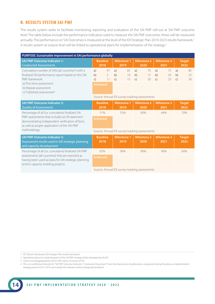#### **B. RESULTS SYSTEM SAI PMF**

The results system seeks to facilitate monitoring, reporting and evaluation of the SAI PMF roll-out at SAI PMF outcome level. The table below include the performance indicators used to measure the SAI PMF outcomes, these will be measured annually. The performance on SAI Outcomes is measured at the level of the IDI Strategic Plan 2019-2023 results framework.<sup>1</sup> A results system at output level will be linked to operational plans for implementation of the strategy.2

| PURPOSE: Sustainable improvement in SAI performance globally                                                                                                                                                                     |                                                                            |                                                                                              |                                            |                                            |                                            |  |
|----------------------------------------------------------------------------------------------------------------------------------------------------------------------------------------------------------------------------------|----------------------------------------------------------------------------|----------------------------------------------------------------------------------------------|--------------------------------------------|--------------------------------------------|--------------------------------------------|--|
| <b>SAI PMF Outcome Indicator 1:</b><br><b>Conducted Assessments</b>                                                                                                                                                              | <b>Baseline</b><br>2018                                                    | <b>Milestone 1</b><br>2019                                                                   | <b>Milestone 2</b><br>2020                 | <b>Milestone 3</b><br>2021                 | <b>Target</b><br>2022                      |  |
| Cumulative number of SAIs (all countries <sup>3</sup> ) with a<br>finalised SAI performance report based on the SAI<br>PMF framework<br>a) First time assessment<br>b) Repeat assessment<br>c) Published assessment <sup>4</sup> | 47<br>a)<br>$\overline{2}$<br>b)<br>11<br>$\mathsf{C}$<br><b>Achieved:</b> | 65<br>a)<br>10<br>b)<br>15<br>$\mathsf{C}$<br>Source: Annual IDI survey tracking assessments | a)<br>70<br>15<br>b)<br>$\mathsf{C}$<br>20 | a)<br>75<br>b)<br>20<br>25<br>$\mathsf{C}$ | 85<br>a)<br>25<br>b)<br>30<br>$\mathsf{C}$ |  |
| <b>SAI PMF Outcome Indicator 2:</b><br><b>Quality of Assessments</b>                                                                                                                                                             | <b>Baseline</b><br>2018                                                    | <b>Milestone 1</b><br>2019                                                                   | <b>Milestone 2</b><br>2020                 | <b>Milestone 3</b><br>2021                 | <b>Target</b><br>2022                      |  |
| Percentage of all (i.e. cumulative) finalized SAI<br>PMF assessments that includes an IR statement<br>demonstrating independent verification of facts,<br>as well as proper application of the SAI PMF                           | 51%<br><b>Achieved:</b>                                                    | 55%                                                                                          | 60%                                        | 64%                                        | 70%                                        |  |
| methodology                                                                                                                                                                                                                      | Source: Annual IDI survey tracking assessments                             |                                                                                              |                                            |                                            |                                            |  |
| <b>SAI PMF Outcome Indicator 3:</b><br>Assessment results used in SAI strategic planning<br>and capacity development                                                                                                             | <b>Baseline</b><br>2018                                                    | <b>Milestone 1</b><br>2019                                                                   | <b>Milestone 2</b><br>2020                 | <b>Milestone 3</b><br>2021                 | <b>Target</b><br>2022                      |  |
| Percentage of all (i.e. cumulative) finalized SAI PMF                                                                                                                                                                            | 82%                                                                        | 90%                                                                                          | 90%                                        | 90%                                        | 90%                                        |  |
| assessments (all countries) that are reported as<br>having been used as basis for SAI strategic planning<br>and/or capacity building projects                                                                                    | <b>Achieved:</b>                                                           |                                                                                              |                                            |                                            |                                            |  |
|                                                                                                                                                                                                                                  |                                                                            | Source: Annual IDI survey tracking assessments                                               |                                            |                                            |                                            |  |

*<sup>1</sup> IDC Results Framework, IDI Strategic Plan results framework.*

*<sup>2</sup> Operational plans for implementation of the SAI PMF Strategy will be developed by the IDI.*

*<sup>3</sup> Data to be disaggregated by OECD-DAC status of country of SAI.*

*<sup>4</sup> This is an additional indicator for "SAI PMF Outcome Indicator 1: Conducted Assessment". Since the importance of publication is recognized during the previous implementation strategy period of 2017-2019, we included this indicator where strategically beneficial.*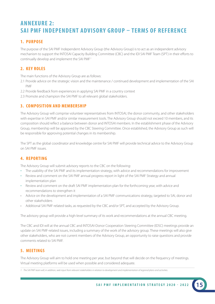### **ANNEXURE 2: SAI PMF INDEPENDENT ADVISORY GROUP – TERMS OF REFERENCE**

### **1. PURPOSE**

The purpose of the SAI PMF Independent Advisory Group (the Advisory Group) is to act as an independent advisory mechanism to support the INTOSAI Capacity Building Committee (CBC) and the IDI SAI PMF Team (SPT) in their efforts to continually develop and implement the SAI PMF.1

### **2. KEY ROLES**

The main functions of the Advisory Group are as follows:

- 2.1 Provide advice on the strategic vision and the maintenance / continued development and implementation of the SAI PMF
- 2.2 Provide feedback from experiences in applying SAI PMF in a country context
- 2.3 Promote and champion the SAI PMF to all relevant global stakeholders.

### **3. COMPOSITION AND MEMBERSHIP**

The Advisory Group will comprise volunteer representatives from INTOSAI, the donor community, and other stakeholders with expertise in SAI PMF and/or similar measurement tools. The Advisory Group should not exceed 10 members, and its composition should reflect a balance between donor and INTOSAI members. In the establishment phase of the Advisory Group, membership will be approved by the CBC Steering Committee. Once established, the Advisory Group as such will be responsible for approving potential changes in its membership.

The SPT as the global coordinator and knowledge centre for SAI PMF will provide technical advice to the Advisory Group on SAI PMF issues.

### **4. REPORTING**

The Advisory Group will submit advisory reports to the CBC on the following:

- The usability of the SAI PMF and its implementation strategy, with advice and recommendations for improvement
- Review and comment on the SAI PMF annual progress report in light of the SAI PMF Strategy and annual implementation plan
- Review and comment on the draft SAI PMF implementation plan for the forthcoming year, with advice and recommendations to strengthen it
- Advice on the development and implementation of a SAI PMF communications strategy, targeted to SAI, donor and other stakeholders
- Additional SAI PMF-related tasks, as requested by the CBC and/or SPT, and accepted by the Advisory Group.

The advisory group will provide a high-level summary of its work and recommendations at the annual CBC meeting.

The CBC and IDI will at the annual CBC and INTOSAI-Donor Cooperation Steering Committee (IDSC) meetings provide an update on SAI PMF-related issues, including a summary of the work of the advisory group. These meetings will also give other stakeholders, who are not current members of the Advisory Group, an opportunity to raise questions and provide comments related to SAI PMF.

### **5. MEETINGS**

The Advisory Group will aim to hold one meeting per year, but beyond that will decide on the frequency of meetings. Virtual meeting platforms will be used when possible and considered adequate.

*<sup>1</sup> The SAI PMF team will, in addition, seek input from relevant stakeholders in relation to development and implementation of regional plans and activities.*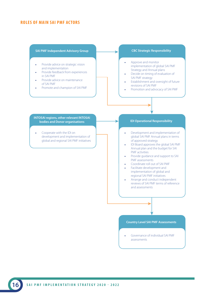#### **ROLES OF MAIN SAI PMF ACTORS**